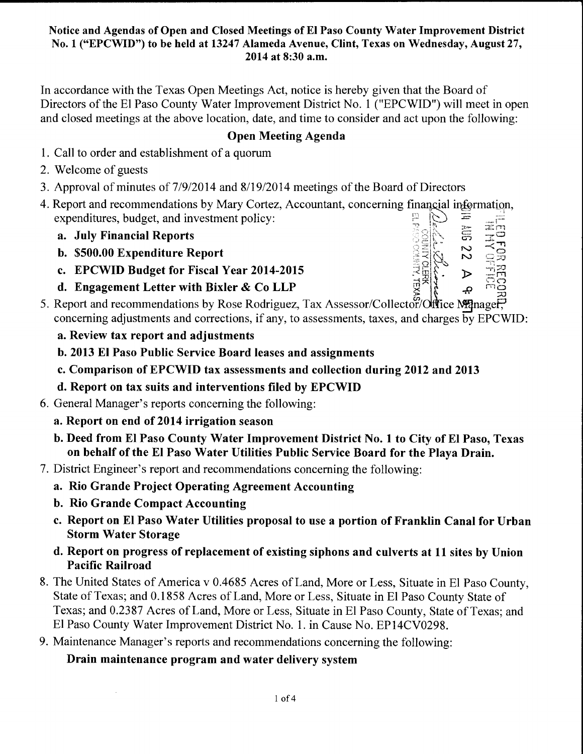In accordance with the Texas Open Meetings Act, notice is hereby given that the Board of Directors of the El Paso County Water Improvement District No. 1 ("EPCWID") will meet in open and closed meetings at the above location, date, and time to consider and act upon the following:

# Open Meeting Agenda

- 1. Call to order and establishment of a quorum
- 2. Welcome of guests
- 3. Approval of minutes of 7/9/2014 and 8/19/2014 meetings of the Board of Directors
- 4. Report and recommendations by Mary Cortez, Accountant, concerning financial information, expenditures, budget, and investment policy: expenditures, budget, and investment policy:<br> **a.** July Financial Reports<br>  $\begin{array}{cc}\n\vdots \\
\hline\n\vdots \\
\hline\n\end{array}$   $\begin{array}{ccc}\n\vdots \\
\hline\n\vdots \\
\hline\n\end{array}$   $\begin{array}{ccc}\n\vdots \\
\hline\n\vdots \\
\hline\n\end{array}$   $\begin{array}{ccc}\n\vdots \\
\hline\n\end{array}$   $\begin{array}{ccc}\n\vdots \\
\hline\n\end{array}$   $\$ 
	-
	- a. July Financial Reports . ; ':::~!\>, o
	- b. \$500.00 Expenditure Report<br>
	c. EPCWID Budget for Fiscal Year 2014-2015<br>
	d. Engagement Letter with Bixler & Co LLP<br>  $\frac{1}{2}$ <br>  $\frac{1}{2}$
	- d. Engagement Letter with Bixler & Co LLP *y;:"'* ..;,, r.-i o
- 5. Report and recommendations by Rose Rodriguez, Tax Assessor/Collector/Office Manager, concerning adjustments and corrections, if any, to assessments, taxes, and charges by EPCWID:
	- a. Review tax report and adjustments
	- b. 2013 El Paso Public Service Board leases and assignments
	- c. Comparison of EPCWID tax assessments and collection during 2012 and 2013
	- d. Report on tax suits and interventions filed by EPCWID
- 6. General Manager's reports concerning the following:
	- a. Report on end of 2014 irrigation season
	- b. Deed from El Paso County Water Improvement District No. 1 to City of El Paso, Texas on behalf of the El Paso Water Utilities Public Service Board for the Playa Drain.
- 7. District Engineer's report and recommendations concerning the following:
	- a. Rio Grande Project Operating Agreement Accounting
	- b. Rio Grande Compact Accounting
	- c. Report on El Paso Water Utilities proposal to use a portion of Franklin Canal for Urban Storm Water Storage
	- d. Report on progress of replacement of existing siphons and culverts at 11 sites by Union Pacific Railroad
- 8. The United States of America v 0.4685 Acres of Land, More or Less, Situate in El Paso County, State of Texas; and 0.1858 Acres of Land, More or Less, Situate in El Paso County State of Texas; and 0.2387 Acres of Land, More or Less, Situate in El Paso County, State of Texas; and El Paso County Water Improvement District No. 1. in Cause No. EP14CV0298.
- 9. Maintenance Manager's reports and recommendations concerning the following:

Drain maintenance program and water delivery system

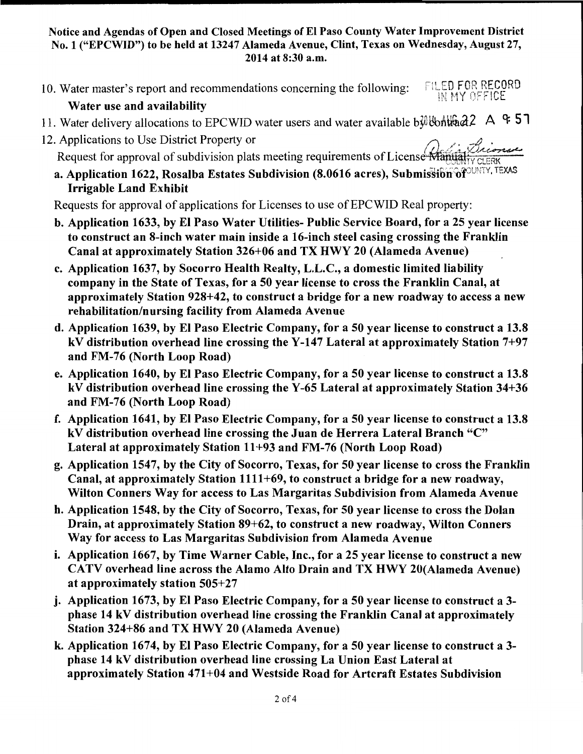10. Water master's report and recommendations concerning the following: FILED FOR RECORD **HY OFFICE** 

# Water use and availability

- 11. Water delivery allocations to EPCWID water users and water available b $\frac{1}{2}$  Wonthad2 A  $\div$  51
- 12. Applications to Use District Property or
	- Request for approval of subdivision plats meeting requirements of License Manufalty CLERK
	- a. Application 1622, Rosalba Estates Subdivision (8.0616 acres), Submission of UNITY, TEXAS Irrigable Land Exhibit

Requests for approval of applications for Licenses to use of EPCWID Real property:

- b. Application 1633, by El Paso Water Utilities- Public Service Board, for a 25 year license to construct an 8-inch water main inside a 16-inch steel casing crossing the Franklin Canal at approximately Station 326+06 and TX HWY 20 (Alameda Avenue)
- c. Application 1637, by Socorro Health Realty, L.L.C., a domestic limited liability company in the State of Texas, for a 50 year license to cross the Franklin Canal, at approximately Station 928+42, to construct a bridge for a new roadway to access a new rehabilitation/nursing facility from Alameda Avenue
- d. Application 1639, by El Paso Electric Company, for a 50 year license to construct a 13.8 kV distribution overhead line crossing the Y-147 Lateral at approximately Station 7+97 and FM-76 (North Loop Road)
- e. Application 1640, by El Paso Electric Company, for a 50 year license to construct a 13.8 kV distribution overhead line crossing the Y-65 Lateral at approximately Station 34+36 and FM-76 (North Loop Road)
- f. Application 1641, by El Paso Electric Company, for a 50 year license to construct a 13.8 kV distribution overhead line crossing the Juan de Herrera Lateral Branch "C" Lateral at approximately Station 11+93 and FM-76 (North Loop Road)
- g. Application 1547, by the City of Socorro, Texas, for 50 year license to cross the Franklin Canal, at approximately Station 1111+69, to construct a bridge for a new roadway, Wilton Conners Way for access to Las Margaritas Subdivision from Alameda Avenue
- h. Application 1548, by the City of Socorro, Texas, for 50 year license to cross the Dolan Drain, at approximately Station 89+62, to construct a new roadway, Wilton Conners Way for access to Las Margaritas Subdivision from Alameda Avenue
- i. Application 1667, by Time Warner Cable, Inc., for a 25 year license to construct a new CATV overhead line across the Alamo Alto Drain and TX HWY 20(Alameda Avenue) at approximately station 505+27
- j. Application 1673, by El Paso Electric Company, for a 50 year license to construct a 3 phase 14 kV distribution overhead line crossing the Franklin Canal at approximately Station 324+86 and TX HWY 20 (Alameda Avenue)
- k. Application 1674, by El Paso Electric Company, for a 50 year license to construct a 3 phase 14 kV distribution overhead line crossing La Union East Lateral at approximately Station 471+04 and Westside Road for Artcraft Estates Subdivision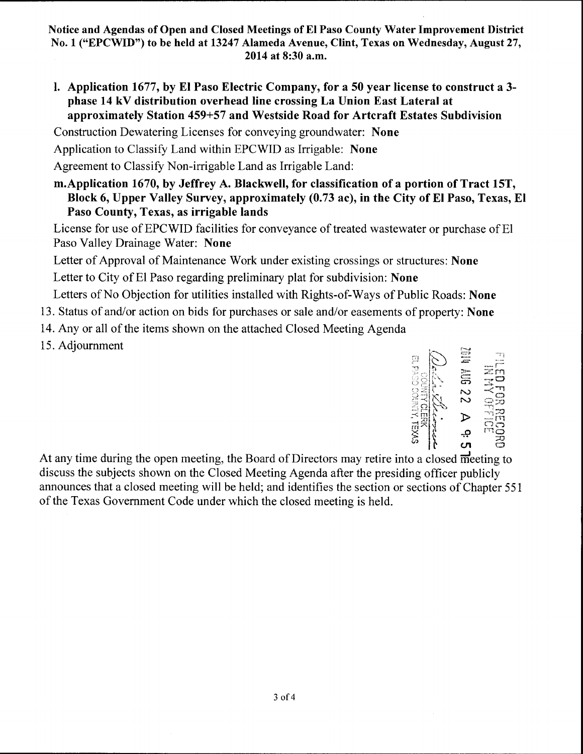I. Application 1677, by El Paso Electric Company, for a 50 year license to construct a 3 phase 14 kV distribution overhead line crossing La Union East Lateral at approximately Station 459+57 and Westside Road for Artcraft Estates Subdivision

Construction Dewatering Licenses for conveying groundwater: None

Application to Classify Land within EPCWID as Irrigable: None

Agreement to Classify Non-irrigable Land as Irrigable Land:

m.Application 1670, by Jeffrey A. Blackwell, for classification of a portion of Tract 15T, Block 6, Upper Valley Survey, approximately (0.73 ac), in the City of El Paso, Texas, El Paso County, Texas, as irrigable lands

License for use of EPCWID facilities for conveyance of treated wastewater or purchase of El Paso Valley Drainage Water: None

Letter of Approval of Maintenance Work under existing crossings or structures: None Letter to City of El Paso regarding preliminary plat for subdivision: None

Letters of No Objection for utilities installed with Rights-of-Ways of Public Roads: None

- 13. Status of and/or action on bids for purchases or sale and/or easements of property: None
- 14. Any or all of the items shown on the attached Closed Meeting Agenda
- 15. Adjournment



At any time during the open meeting, the Board of Directors may retire into a closed m'eeting to discuss the subjects shown on the Closed Meeting Agenda after the presiding officer publicly announces that a closed meeting will be held; and identifies the section or sections of Chapter 551 of the Texas Government Code under which the closed meeting is held.